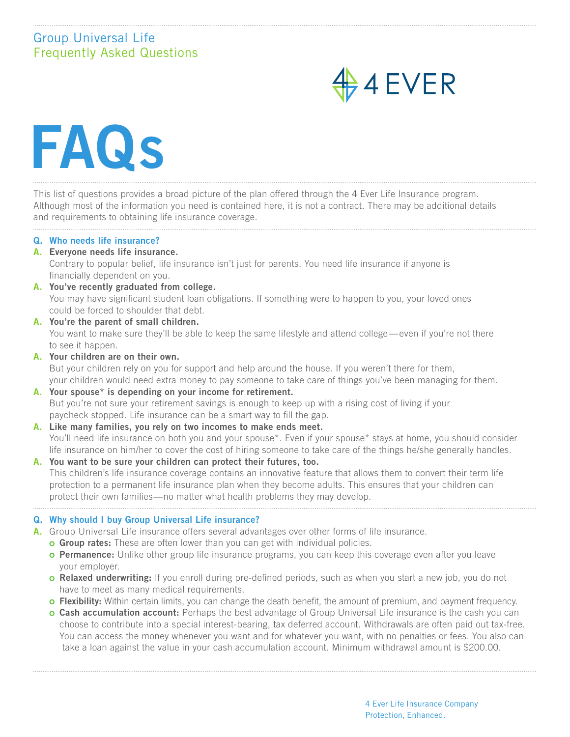# Group Universal Life Frequently Asked Questions



FAQs

This list of questions provides a broad picture of the plan offered through the 4 Ever Life Insurance program. Although most of the information you need is contained here, it is not a contract. There may be additional details and requirements to obtaining life insurance coverage.

## Q. Who needs life insurance?

A. Everyone needs life insurance.

Contrary to popular belief, life insurance isn't just for parents. You need life insurance if anyone is financially dependent on you.

- A. You've recently graduated from college. You may have significant student loan obligations. If something were to happen to you, your loved ones could be forced to shoulder that debt.
- A. You're the parent of small children. You want to make sure they'll be able to keep the same lifestyle and attend college—even if you're not there to see it happen.
- A. Your children are on their own.

But your children rely on you for support and help around the house. If you weren't there for them, your children would need extra money to pay someone to take care of things you've been managing for them.

- A. Your spouse\* is depending on your income for retirement. But you're not sure your retirement savings is enough to keep up with a rising cost of living if your paycheck stopped. Life insurance can be a smart way to fill the gap.
- A. Like many families, you rely on two incomes to make ends meet. You'll need life insurance on both you and your spouse\*. Even if your spouse\* stays at home, you should consider life insurance on him/her to cover the cost of hiring someone to take care of the things he/she generally handles.
- A. You want to be sure your children can protect their futures, too. This children's life insurance coverage contains an innovative feature that allows them to convert their term life protection to a permanent life insurance plan when they become adults. This ensures that your children can protect their own families—no matter what health problems they may develop.

## Q. Why should I buy Group Universal Life insurance?

- A. Group Universal Life insurance offers several advantages over other forms of life insurance.
	- **Group rates:** These are often lower than you can get with individual policies.
	- **O Permanence:** Unlike other group life insurance programs, you can keep this coverage even after you leave your employer.
	- o Relaxed underwriting: If you enroll during pre-defined periods, such as when you start a new job, you do not have to meet as many medical requirements.
	- **C** Flexibility: Within certain limits, you can change the death benefit, the amount of premium, and payment frequency.
	- **Cash accumulation account:** Perhaps the best advantage of Group Universal Life insurance is the cash you can choose to contribute into a special interest-bearing, tax deferred account. Withdrawals are often paid out tax-free. You can access the money whenever you want and for whatever you want, with no penalties or fees. You also can take a loan against the value in your cash accumulation account. Minimum withdrawal amount is \$200.00.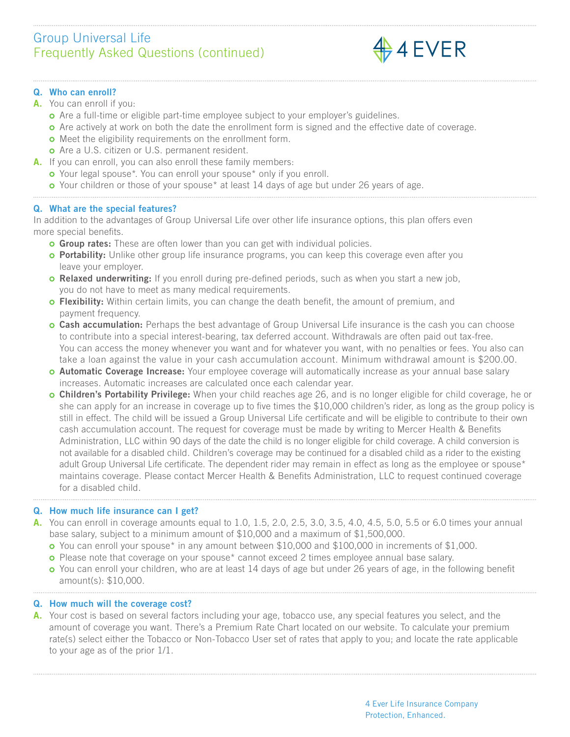# Group Universal Life Frequently Asked Questions (continued)



# Q. Who can enroll?

- A. You can enroll if you:
	- Are a full-time or eligible part-time employee subject to your employer's guidelines.
	- **o** Are actively at work on both the date the enrollment form is signed and the effective date of coverage.
	- **o** Meet the eligibility requirements on the enrollment form.
	- o Are a U.S. citizen or U.S. permanent resident.
- A. If you can enroll, you can also enroll these family members:
	- o Your legal spouse\*. You can enroll your spouse\* only if you enroll.
	- **o** Your children or those of your spouse\* at least 14 days of age but under 26 years of age.

# Q. What are the special features?

In addition to the advantages of Group Universal Life over other life insurance options, this plan offers even more special benefits.

- **G** Group rates: These are often lower than you can get with individual policies.
- **o Portability:** Unlike other group life insurance programs, you can keep this coverage even after you leave your employer.
- **o Relaxed underwriting:** If you enroll during pre-defined periods, such as when you start a new job, you do not have to meet as many medical requirements.
- **o Flexibility:** Within certain limits, you can change the death benefit, the amount of premium, and payment frequency.
- o Cash accumulation: Perhaps the best advantage of Group Universal Life insurance is the cash you can choose to contribute into a special interest-bearing, tax deferred account. Withdrawals are often paid out tax-free. You can access the money whenever you want and for whatever you want, with no penalties or fees. You also can take a loan against the value in your cash accumulation account. Minimum withdrawal amount is \$200.00.
- **O Automatic Coverage Increase:** Your employee coverage will automatically increase as your annual base salary increases. Automatic increases are calculated once each calendar year.
- **Children's Portability Privilege:** When your child reaches age 26, and is no longer eligible for child coverage, he or she can apply for an increase in coverage up to five times the \$10,000 children's rider, as long as the group policy is still in effect. The child will be issued a Group Universal Life certificate and will be eligible to contribute to their own cash accumulation account. The request for coverage must be made by writing to Mercer Health & Benefits Administration, LLC within 90 days of the date the child is no longer eligible for child coverage. A child conversion is not available for a disabled child. Children's coverage may be continued for a disabled child as a rider to the existing adult Group Universal Life certificate. The dependent rider may remain in effect as long as the employee or spouse\* maintains coverage. Please contact Mercer Health & Benefits Administration, LLC to request continued coverage for a disabled child.

## Q. How much life insurance can I get?

- A. You can enroll in coverage amounts equal to 1.0, 1.5, 2.0, 2.5, 3.0, 3.5, 4.0, 4.5, 5.0, 5.5 or 6.0 times your annual base salary, subject to a minimum amount of \$10,000 and a maximum of \$1,500,000.
	- You can enroll your spouse\* in any amount between \$10,000 and \$100,000 in increments of \$1,000.
	- **o** Please note that coverage on your spouse<sup>\*</sup> cannot exceed 2 times employee annual base salary.
	- **o** You can enroll your children, who are at least 14 days of age but under 26 years of age, in the following benefit amount(s): \$10,000.

## Q. How much will the coverage cost?

A. Your cost is based on several factors including your age, tobacco use, any special features you select, and the amount of coverage you want. There's a Premium Rate Chart located on our website. To calculate your premium rate(s) select either the Tobacco or Non-Tobacco User set of rates that apply to you; and locate the rate applicable to your age as of the prior 1/1.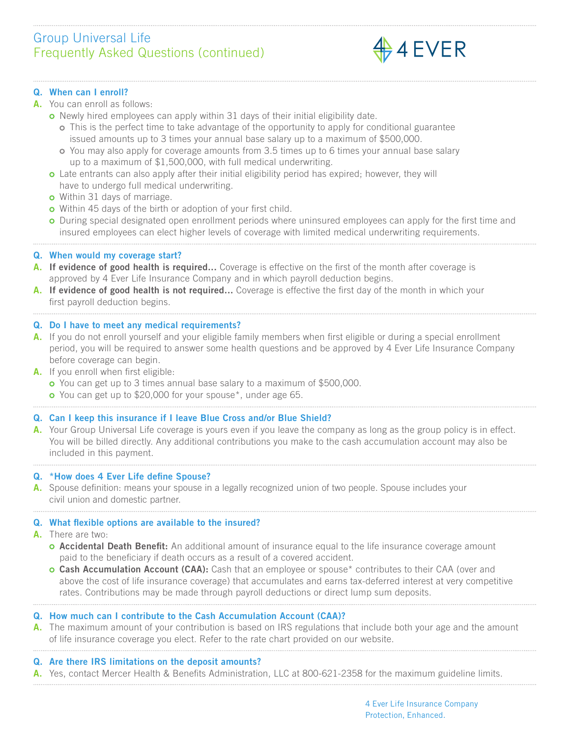# Group Universal Life Frequently Asked Questions (continued)



## Q. When can I enroll?

#### A. You can enroll as follows:

- o Newly hired employees can apply within 31 days of their initial eligibility date.
	- This is the perfect time to take advantage of the opportunity to apply for conditional guarantee issued amounts up to 3 times your annual base salary up to a maximum of \$500,000.
	- You may also apply for coverage amounts from 3.5 times up to 6 times your annual base salary up to a maximum of \$1,500,000, with full medical underwriting.
- **o** Late entrants can also apply after their initial eligibility period has expired; however, they will have to undergo full medical underwriting.
- **o** Within 31 days of marriage.
- o Within 45 days of the birth or adoption of your first child.
- **O** During special designated open enrollment periods where uninsured employees can apply for the first time and insured employees can elect higher levels of coverage with limited medical underwriting requirements.

## Q. When would my coverage start?

- A. If evidence of good health is required... Coverage is effective on the first of the month after coverage is approved by 4 Ever Life Insurance Company and in which payroll deduction begins.
- A. If evidence of good health is not required... Coverage is effective the first day of the month in which your first payroll deduction begins.

## Q. Do I have to meet any medical requirements?

- A. If you do not enroll yourself and your eligible family members when first eligible or during a special enrollment period, you will be required to answer some health questions and be approved by 4 Ever Life Insurance Company before coverage can begin.
- A. If you enroll when first eligible:
	- You can get up to 3 times annual base salary to a maximum of \$500,000.
	- **o** You can get up to \$20,000 for your spouse\*, under age 65.

## Q. Can I keep this insurance if I leave Blue Cross and/or Blue Shield?

A. Your Group Universal Life coverage is yours even if you leave the company as long as the group policy is in effect. You will be billed directly. Any additional contributions you make to the cash accumulation account may also be included in this payment.

## Q. \*How does 4 Ever Life define Spouse?

A. Spouse definition: means your spouse in a legally recognized union of two people. Spouse includes your civil union and domestic partner.

## Q. What flexible options are available to the insured?

- A. There are two:
	- **o Accidental Death Benefit:** An additional amount of insurance equal to the life insurance coverage amount paid to the beneficiary if death occurs as a result of a covered accident.
	- **Cash Accumulation Account (CAA):** Cash that an employee or spouse<sup>\*</sup> contributes to their CAA (over and above the cost of life insurance coverage) that accumulates and earns tax-deferred interest at very competitive rates. Contributions may be made through payroll deductions or direct lump sum deposits.

## Q. How much can I contribute to the Cash Accumulation Account (CAA)?

A. The maximum amount of your contribution is based on IRS regulations that include both your age and the amount of life insurance coverage you elect. Refer to the rate chart provided on our website.

## Q. Are there IRS limitations on the deposit amounts?

A. Yes, contact Mercer Health & Benefits Administration, LLC at 800-621-2358 for the maximum guideline limits.